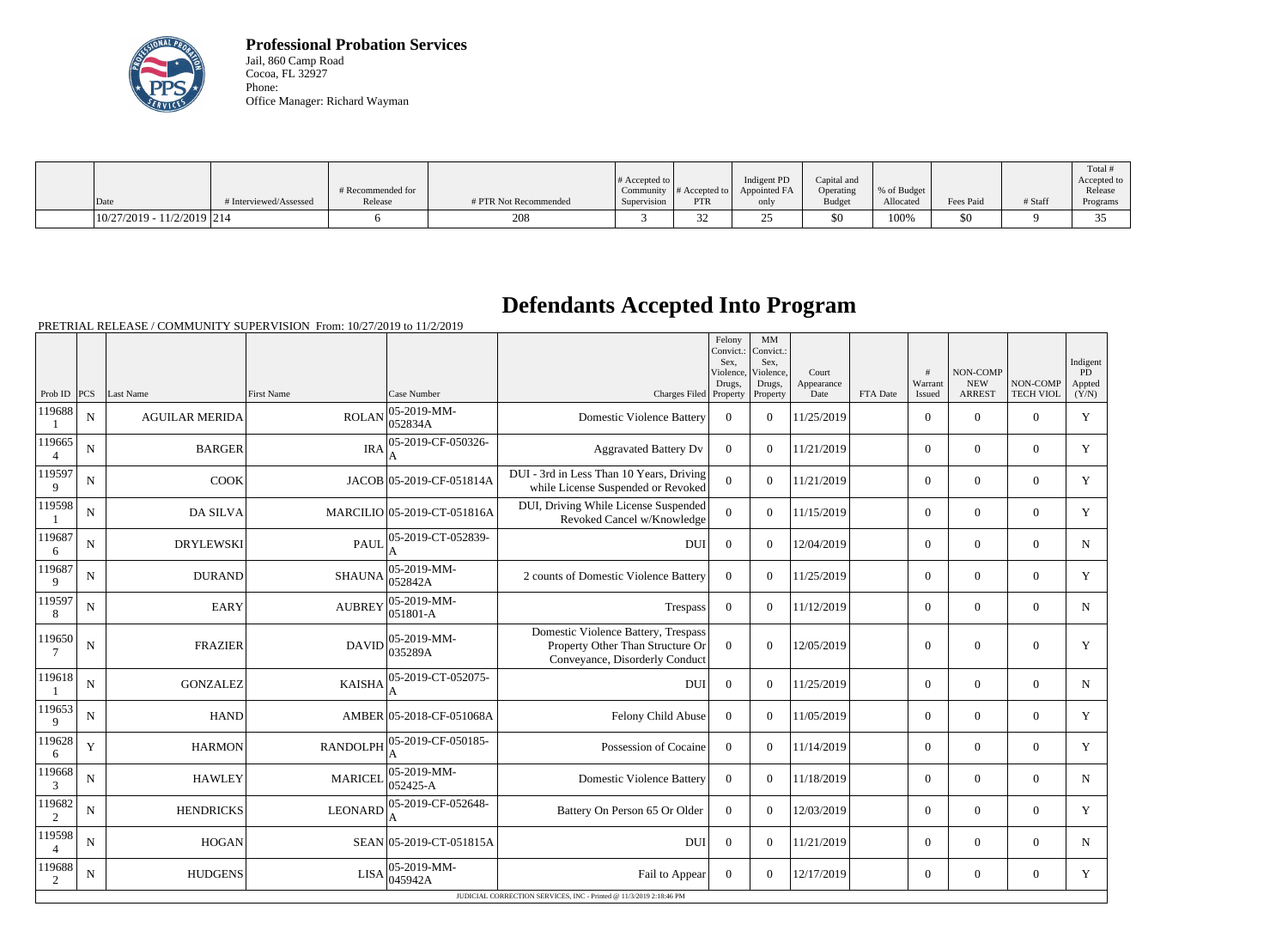

**Professional Probation Services** Jail, 860 Camp Road Cocoa, FL 32927 Phone: Office Manager: Richard Wayman

|                              |                        |                              |                       | $\#$ Accepted to |                                              | Indigent PD          | Capital and                |                          |           |         | Total #<br>Accepted to 1 |
|------------------------------|------------------------|------------------------------|-----------------------|------------------|----------------------------------------------|----------------------|----------------------------|--------------------------|-----------|---------|--------------------------|
| Date                         | # Interviewed/Assessed | # Recommended for<br>Release | # PTR Not Recommended | Supervision      | Community $ #$ Accepted to $ $<br><b>PTR</b> | Appointed FA<br>only | Operating<br><b>Budget</b> | % of Budget<br>Allocated | Fees Paid | # Staff | Release<br>Programs      |
| $10/27/2019 - 11/2/2019$ 214 |                        |                              | 208                   |                  | ىر                                           |                      | \$0                        | 100%                     | 5Ο        |         |                          |

## **Defendants Accepted Into Program**

PRETRIAL RELEASE / COMMUNITY SUPERVISION From: 10/27/2019 to 11/2/2019

|                          |             |                       |                |                             |                                                                                                           | Felony<br>Convict.:<br>Sex,<br>Violence, | MM<br>Convict.:<br>Sex,<br>Violence, | Court              |          | #                 | <b>NON-COMP</b>             |                              | Indigent<br><b>PD</b> |
|--------------------------|-------------|-----------------------|----------------|-----------------------------|-----------------------------------------------------------------------------------------------------------|------------------------------------------|--------------------------------------|--------------------|----------|-------------------|-----------------------------|------------------------------|-----------------------|
| Prob ID $ PCS $          |             | Last Name             | First Name     | Case Number                 | Charges Filed Property                                                                                    | Drugs,                                   | Drugs,<br>Property                   | Appearance<br>Date | FTA Date | Warrant<br>Issued | <b>NEW</b><br><b>ARREST</b> | NON-COMP<br><b>TECH VIOL</b> | Appted<br>(Y/N)       |
| 119688                   | $\mathbf N$ | <b>AGUILAR MERIDA</b> | <b>ROLAN</b>   | 05-2019-MM-<br>052834A      | <b>Domestic Violence Battery</b>                                                                          | $\overline{0}$                           | $\Omega$                             | 11/25/2019         |          | $\overline{0}$    | $\theta$                    | $\overline{0}$               | Y                     |
| 119665<br>$\overline{4}$ | ${\bf N}$   | <b>BARGER</b>         | <b>IRA</b>     | 05-2019-CF-050326-<br>А     | <b>Aggravated Battery Dv</b>                                                                              | $\mathbf{0}$                             | $\overline{0}$                       | 11/21/2019         |          | $\overline{0}$    | $\overline{0}$              | $\mathbf{0}$                 | Y                     |
| 119597<br>9              | $\mathbf N$ | <b>COOK</b>           |                | JACOB 05-2019-CF-051814A    | DUI - 3rd in Less Than 10 Years, Driving<br>while License Suspended or Revoked                            | $\overline{0}$                           | $\Omega$                             | 11/21/2019         |          | $\Omega$          | $\Omega$                    | $\Omega$                     | Y                     |
| 119598                   | N           | <b>DA SILVA</b>       |                | MARCILIO 05-2019-CT-051816A | DUI, Driving While License Suspended<br>Revoked Cancel w/Knowledge                                        | $\Omega$                                 | $\Omega$                             | 11/15/2019         |          | $\Omega$          | $\theta$                    | $\Omega$                     | Y                     |
| 119687<br>6              | $\mathbf N$ | <b>DRYLEWSKI</b>      | <b>PAUL</b>    | 05-2019-CT-052839-          | <b>DUI</b>                                                                                                | $\boldsymbol{0}$                         | $\Omega$                             | 12/04/2019         |          | $\overline{0}$    | $\boldsymbol{0}$            | $\mathbf{0}$                 | $\mathbf N$           |
| 119687<br>9              | $\mathbf N$ | <b>DURAND</b>         | <b>SHAUNA</b>  | $ 05-2019-MM -$<br>052842A  | 2 counts of Domestic Violence Battery                                                                     | $\theta$                                 | $\Omega$                             | 11/25/2019         |          | $\overline{0}$    | $\mathbf{0}$                | $\overline{0}$               | Y                     |
| 119597<br>8              | ${\bf N}$   | <b>EARY</b>           | <b>AUBREY</b>  | 05-2019-MM-<br>051801-A     | Trespass                                                                                                  | $\mathbf{0}$                             | $\Omega$                             | 11/12/2019         |          | $\overline{0}$    | $\mathbf{0}$                | $\mathbf{0}$                 | N                     |
| 119650<br>7              | $\mathbf N$ | <b>FRAZIER</b>        | <b>DAVID</b>   | $ 05-2019-MM-$<br>035289A   | Domestic Violence Battery, Trespass<br>Property Other Than Structure Or<br>Conveyance, Disorderly Conduct | $\overline{0}$                           | $\theta$                             | 12/05/2019         |          | $\theta$          | $\theta$                    | $\Omega$                     | Y                     |
| 119618                   | $\mathbf N$ | <b>GONZALEZ</b>       | <b>KAISHA</b>  | 05-2019-CT-052075-<br>A     | <b>DUI</b>                                                                                                | $\overline{0}$                           | $\Omega$                             | 11/25/2019         |          | $\overline{0}$    | $\mathbf{0}$                | $\overline{0}$               | $\mathbf N$           |
| 119653<br>9              | ${\bf N}$   | <b>HAND</b>           |                | AMBER 05-2018-CF-051068A    | Felony Child Abuse                                                                                        | $\mathbf{0}$                             | $\Omega$                             | 11/05/2019         |          | $\overline{0}$    | $\theta$                    | $\overline{0}$               | Y                     |
| 119628<br>6              | Y           | <b>HARMON</b>         |                | RANDOLPH 05-2019-CF-050185- | Possession of Cocaine                                                                                     | $\mathbf{0}$                             | $\overline{0}$                       | 11/14/2019         |          | $\overline{0}$    | $\mathbf{0}$                | $\overline{0}$               | Y                     |
| 119668<br>3              | N           | <b>HAWLEY</b>         | <b>MARICEL</b> | 05-2019-MM-<br>052425-A     | <b>Domestic Violence Battery</b>                                                                          | $\overline{0}$                           | $\Omega$                             | 11/18/2019         |          | $\overline{0}$    | $\theta$                    | $\overline{0}$               | N                     |
| 119682<br>2              | N           | <b>HENDRICKS</b>      | <b>LEONARD</b> | 05-2019-CF-052648-<br>A     | Battery On Person 65 Or Older                                                                             | $\theta$                                 | $\Omega$                             | 12/03/2019         |          | $\Omega$          | $\theta$                    | $\Omega$                     | Y                     |
| 119598<br>$\overline{4}$ | $\mathbf N$ | <b>HOGAN</b>          |                | SEAN 05-2019-CT-051815A     | <b>DUI</b>                                                                                                | $\theta$                                 | $\Omega$                             | 11/21/2019         |          | $\overline{0}$    | $\theta$                    | $\Omega$                     | $\mathbf N$           |
| 119688<br>$\overline{2}$ | $\mathbf N$ | <b>HUDGENS</b>        | LISA           | 05-2019-MM-<br>045942A      | Fail to Appear                                                                                            | $\boldsymbol{0}$                         | $\Omega$                             | 12/17/2019         |          | $\overline{0}$    | $\boldsymbol{0}$            | $\overline{0}$               | Y                     |
|                          |             |                       |                |                             | JUDICIAL CORRECTION SERVICES, INC - Printed @ 11/3/2019 2:18:46 PM                                        |                                          |                                      |                    |          |                   |                             |                              |                       |